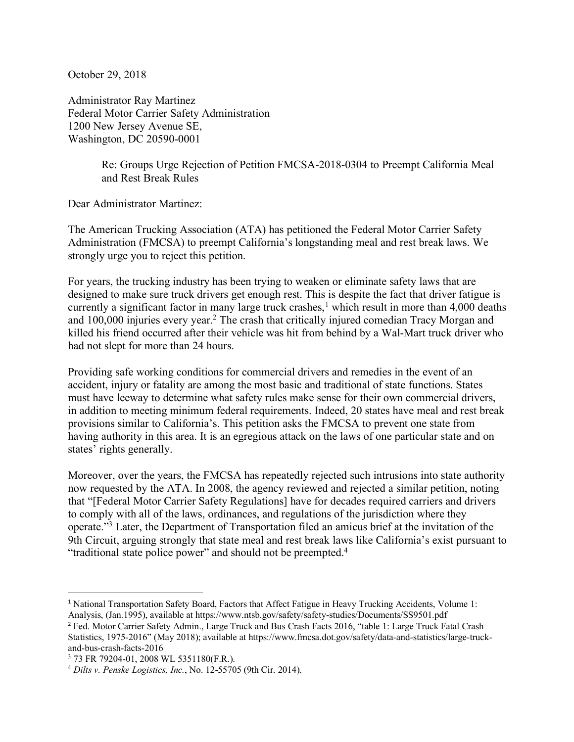October 29, 2018

Administrator Ray Martinez Federal Motor Carrier Safety Administration 1200 New Jersey Avenue SE, Washington, DC 20590-0001

> Re: Groups Urge Rejection of Petition FMCSA-2018-0304 to Preempt California Meal and Rest Break Rules

Dear Administrator Martinez:

The American Trucking Association (ATA) has petitioned the Federal Motor Carrier Safety Administration (FMCSA) to preempt California's longstanding meal and rest break laws. We strongly urge you to reject this petition.

For years, the trucking industry has been trying to weaken or eliminate safety laws that are designed to make sure truck drivers get enough rest. This is despite the fact that driver fatigue is currently a significant factor in many large truck crashes,<sup>1</sup> which result in more than 4,000 deaths and 100,000 injuries every year.2 The crash that critically injured comedian Tracy Morgan and killed his friend occurred after their vehicle was hit from behind by a Wal-Mart truck driver who had not slept for more than 24 hours.

Providing safe working conditions for commercial drivers and remedies in the event of an accident, injury or fatality are among the most basic and traditional of state functions. States must have leeway to determine what safety rules make sense for their own commercial drivers, in addition to meeting minimum federal requirements. Indeed, 20 states have meal and rest break provisions similar to California's. This petition asks the FMCSA to prevent one state from having authority in this area. It is an egregious attack on the laws of one particular state and on states' rights generally.

Moreover, over the years, the FMCSA has repeatedly rejected such intrusions into state authority now requested by the ATA. In 2008, the agency reviewed and rejected a similar petition, noting that "[Federal Motor Carrier Safety Regulations] have for decades required carriers and drivers to comply with all of the laws, ordinances, and regulations of the jurisdiction where they operate."3 Later, the Department of Transportation filed an amicus brief at the invitation of the 9th Circuit, arguing strongly that state meal and rest break laws like California's exist pursuant to "traditional state police power" and should not be preempted.<sup>4</sup>

 <sup>1</sup> National Transportation Safety Board, Factors that Affect Fatigue in Heavy Trucking Accidents, Volume 1: Analysis, (Jan.1995), available at https://www.ntsb.gov/safety/safety-studies/Documents/SS9501.pdf

<sup>2</sup> Fed. Motor Carrier Safety Admin., Large Truck and Bus Crash Facts 2016, "table 1: Large Truck Fatal Crash Statistics, 1975-2016" (May 2018); available at https://www.fmcsa.dot.gov/safety/data-and-statistics/large-truckand-bus-crash-facts-2016

<sup>3</sup> 73 FR 79204-01, 2008 WL 5351180(F.R.).

<sup>4</sup> *Dilts v. Penske Logistics, Inc.*, No. 12-55705 (9th Cir. 2014).